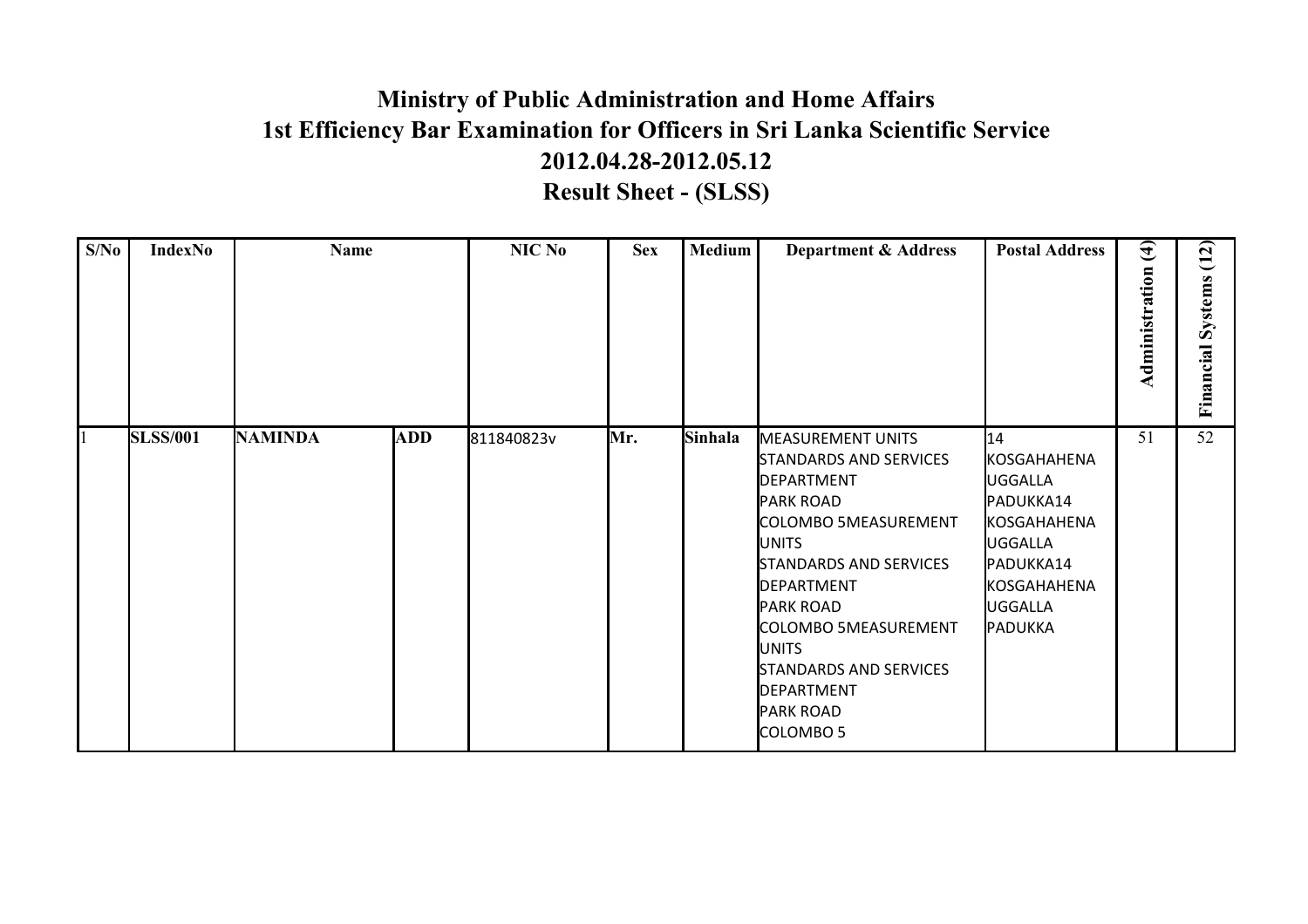## **Ministry of Public Administration and Home Affairs 2012.04.28-2012.05.12 Result Sheet - (SLSS) 1st Efficiency Bar Examination for Officers in Sri Lanka Scientific Service**

| S/No | IndexNo         | <b>Name</b>    |            | NIC No     | <b>Sex</b> | <b>Medium</b> | <b>Department &amp; Address</b>                                                                                                                                                                                                                                                                                                             | <b>Postal Address</b>                                                                                                        | $\overline{4)}$<br>Administration | (12)<br>Systems<br>Financial |
|------|-----------------|----------------|------------|------------|------------|---------------|---------------------------------------------------------------------------------------------------------------------------------------------------------------------------------------------------------------------------------------------------------------------------------------------------------------------------------------------|------------------------------------------------------------------------------------------------------------------------------|-----------------------------------|------------------------------|
|      | <b>SLSS/001</b> | <b>NAMINDA</b> | <b>ADD</b> | 811840823v | Mr.        | Sinhala       | <b>MEASUREMENT UNITS</b><br>STANDARDS AND SERVICES<br><b>IDEPARTMENT</b><br><b>PARK ROAD</b><br>COLOMBO 5MEASUREMENT<br><b>UNITS</b><br><b>STANDARDS AND SERVICES</b><br>DEPARTMENT<br><b>PARK ROAD</b><br>COLOMBO 5MEASUREMENT<br><b>JUNITS</b><br><b>STANDARDS AND SERVICES</b><br>DEPARTMENT<br><b>PARK ROAD</b><br>COLOMBO <sub>5</sub> | 14<br>KOSGAHAHENA<br>UGGALLA<br>PADUKKA14<br>KOSGAHAHENA<br>UGGALLA<br>PADUKKA14<br>KOSGAHAHENA<br><b>UGGALLA</b><br>PADUKKA | 51                                | 52                           |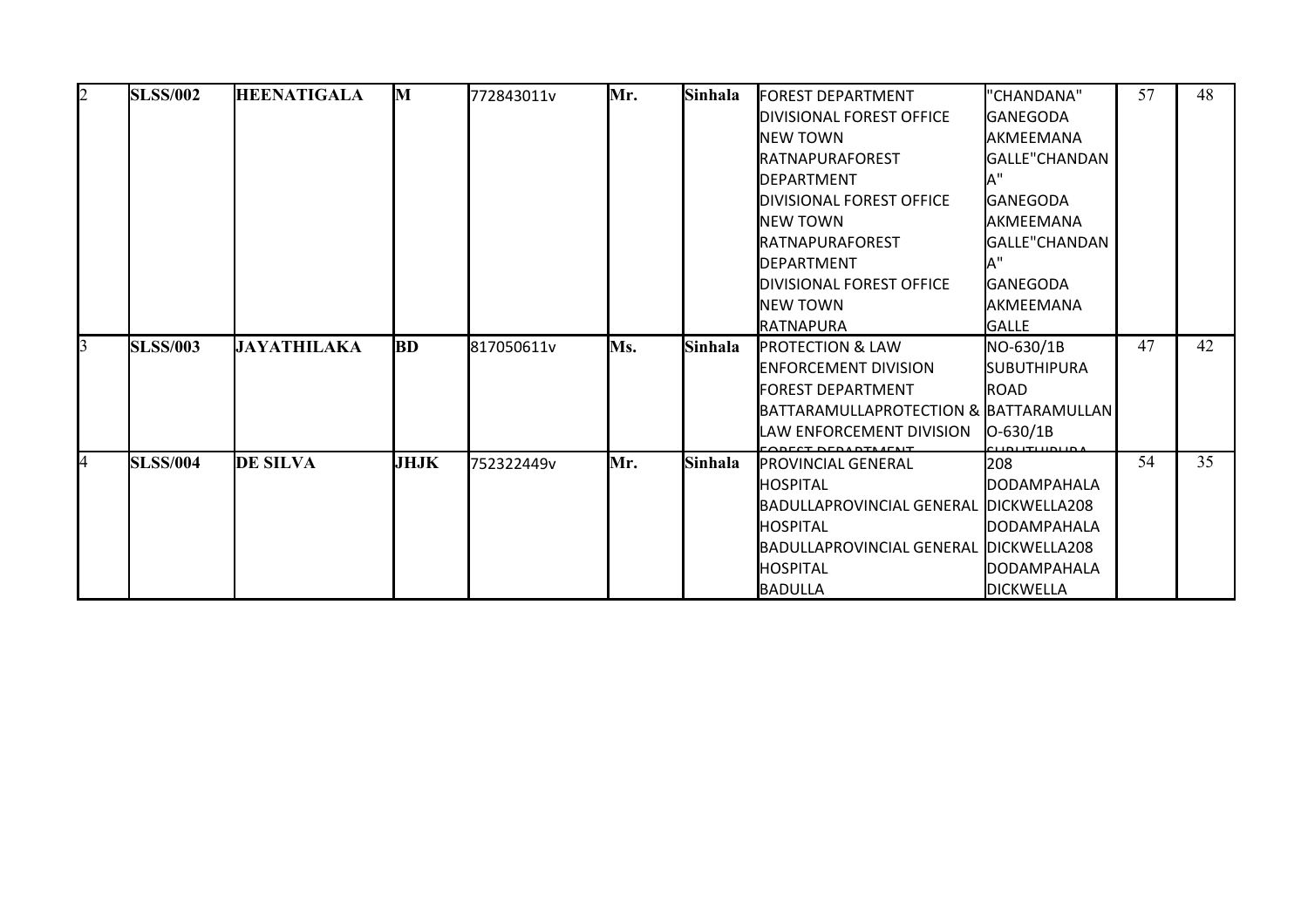| $\overline{2}$ | <b>SLSS/002</b> | <b>HEENATIGALA</b> | M           | 772843011v | Mr. | Sinhala | <b>IFOREST DEPARTMENT</b>              | "CHANDANA"           | 57 | 48 |
|----------------|-----------------|--------------------|-------------|------------|-----|---------|----------------------------------------|----------------------|----|----|
|                |                 |                    |             |            |     |         | DIVISIONAL FOREST OFFICE               | <b>IGANEGODA</b>     |    |    |
|                |                 |                    |             |            |     |         | <b>INEW TOWN</b>                       | <b>AKMEEMANA</b>     |    |    |
|                |                 |                    |             |            |     |         | RATNAPURAFOREST                        | GALLE"CHANDAN        |    |    |
|                |                 |                    |             |            |     |         | DEPARTMENT                             |                      |    |    |
|                |                 |                    |             |            |     |         | DIVISIONAL FOREST OFFICE               | <b>I</b> GANEGODA    |    |    |
|                |                 |                    |             |            |     |         | <b>INEW TOWN</b>                       | IAKMEEMANA           |    |    |
|                |                 |                    |             |            |     |         | RATNAPURAFOREST                        | GALLE"CHANDAN        |    |    |
|                |                 |                    |             |            |     |         | DEPARTMENT                             |                      |    |    |
|                |                 |                    |             |            |     |         | DIVISIONAL FOREST OFFICE               | <b>I</b> GANEGODA    |    |    |
|                |                 |                    |             |            |     |         | NEW TOWN                               | IAKMEEMANA           |    |    |
|                |                 |                    |             |            |     |         | <b>IRATNAPURA</b>                      | <b>GALLE</b>         |    |    |
| 3              | <b>SLSS/003</b> | <b>JAYATHILAKA</b> | <b>BD</b>   | 817050611v | Ms. | Sinhala | <b>PROTECTION &amp; LAW</b>            | NO-630/1B            | 47 | 42 |
|                |                 |                    |             |            |     |         | <b>IENFORCEMENT DIVISION</b>           | <b>I</b> SUBUTHIPURA |    |    |
|                |                 |                    |             |            |     |         | FOREST DEPARTMENT                      | <b>ROAD</b>          |    |    |
|                |                 |                    |             |            |     |         | BATTARAMULLAPROTECTION & BATTARAMULLAN |                      |    |    |
|                |                 |                    |             |            |     |         | LAW ENFORCEMENT DIVISION               | $IO-630/1B$          |    |    |
| 4              | <b>SLSS/004</b> | <b>DE SILVA</b>    | <b>JHJK</b> | 752322449v | Mr. | Sinhala | <b>PROVINCIAL GENERAL</b>              | I208                 | 54 | 35 |
|                |                 |                    |             |            |     |         | <b>HOSPITAL</b>                        | <b>DODAMPAHALA</b>   |    |    |
|                |                 |                    |             |            |     |         | BADULLAPROVINCIAL GENERAL DICKWELLA208 |                      |    |    |
|                |                 |                    |             |            |     |         | <b>I</b> HOSPITAL                      | <b>DODAMPAHALA</b>   |    |    |
|                |                 |                    |             |            |     |         | BADULLAPROVINCIAL GENERAL DICKWELLA208 |                      |    |    |
|                |                 |                    |             |            |     |         | <b>HOSPITAL</b>                        | <b>DODAMPAHALA</b>   |    |    |
|                |                 |                    |             |            |     |         | BADULLA                                | <b>DICKWELLA</b>     |    |    |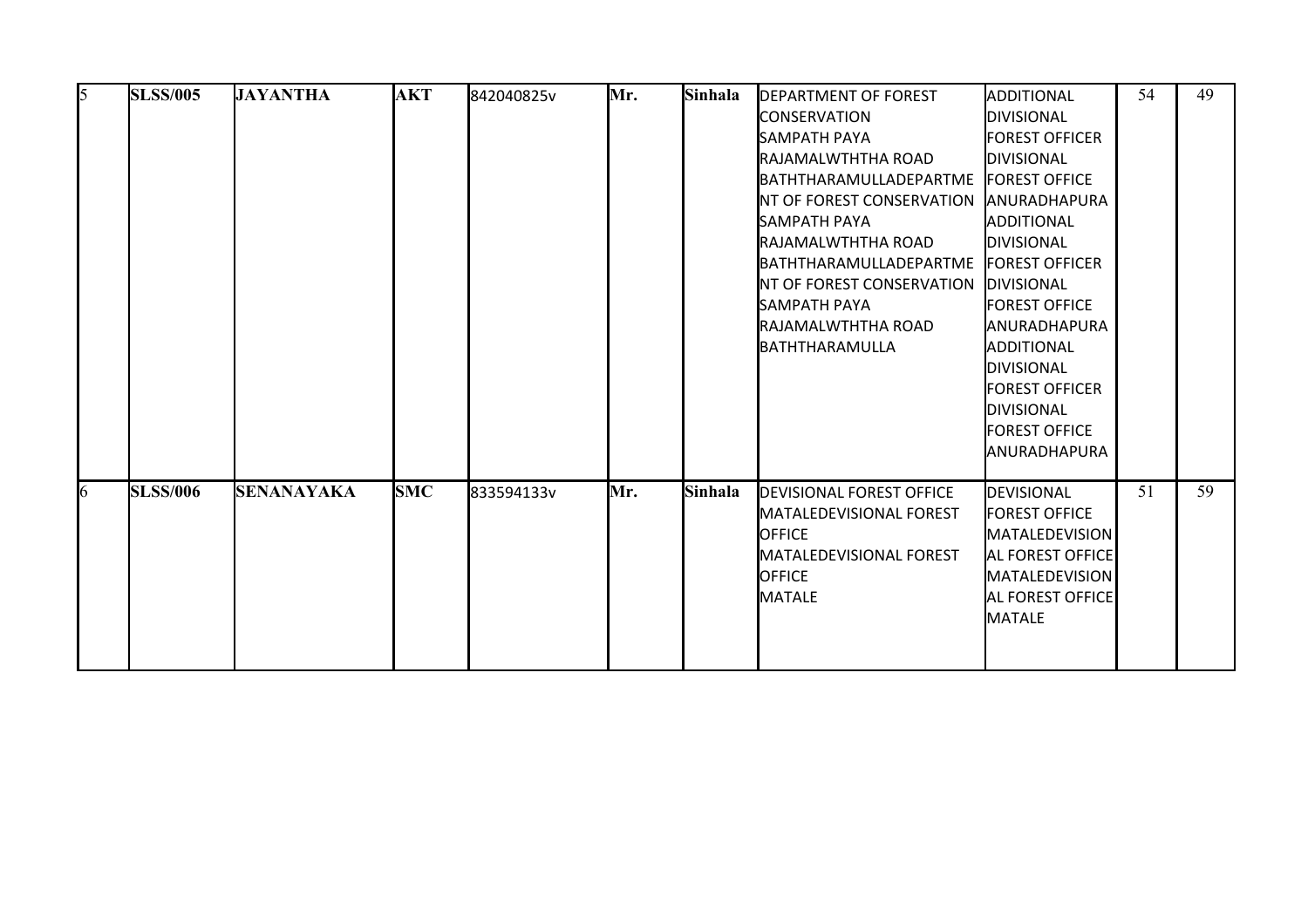| 5 | <b>SLSS/005</b> | <b>JAYANTHA</b>   | <b>AKT</b> | 842040825v | Mr. | Sinhala | <b>DEPARTMENT OF FOREST</b><br><b>CONSERVATION</b><br><b>I</b> SAMPATH PAYA<br>RAJAMALWTHTHA ROAD<br><b>BATHTHARAMULLADEPARTME</b><br>INT OF FOREST CONSERVATION<br><b>SAMPATH PAYA</b><br>RAJAMALWTHTHA ROAD<br><b>IBATHTHARAMULLADEPARTME</b><br><b>INT OF FOREST CONSERVATION</b><br><b>SAMPATH PAYA</b><br>RAJAMALWTHTHA ROAD | ADDITIONAL<br><b>DIVISIONAL</b><br><b>FOREST OFFICER</b><br><b>DIVISIONAL</b><br><b>FOREST OFFICE</b><br><b>ANURADHAPURA</b><br>ADDITIONAL<br><b>DIVISIONAL</b><br><b>FOREST OFFICER</b><br><b>DIVISIONAL</b><br><b>FOREST OFFICE</b><br><b>ANURADHAPURA</b> | 54 | 49 |
|---|-----------------|-------------------|------------|------------|-----|---------|-----------------------------------------------------------------------------------------------------------------------------------------------------------------------------------------------------------------------------------------------------------------------------------------------------------------------------------|--------------------------------------------------------------------------------------------------------------------------------------------------------------------------------------------------------------------------------------------------------------|----|----|
| 6 | <b>SLSS/006</b> | <b>SENANAYAKA</b> | <b>SMC</b> | 833594133v | Mr. | Sinhala | BATHTHARAMULLA<br><b>DEVISIONAL FOREST OFFICE</b><br><b>IMATALEDEVISIONAL FOREST</b>                                                                                                                                                                                                                                              | ADDITIONAL<br>DIVISIONAL<br>FOREST OFFICER<br>IDIVISIONAL<br><b>FOREST OFFICE</b><br><b>ANURADHAPURA</b><br><b>DEVISIONAL</b><br><b>FOREST OFFICE</b>                                                                                                        | 51 | 59 |
|   |                 |                   |            |            |     |         | <b>OFFICE</b><br><b>MATALEDEVISIONAL FOREST</b><br><b>OFFICE</b><br><b>MATALE</b>                                                                                                                                                                                                                                                 | <b>MATALEDEVISION</b><br><b>AL FOREST OFFICE</b><br><b>MATALEDEVISION</b><br><b>AL FOREST OFFICE</b><br>MATALE                                                                                                                                               |    |    |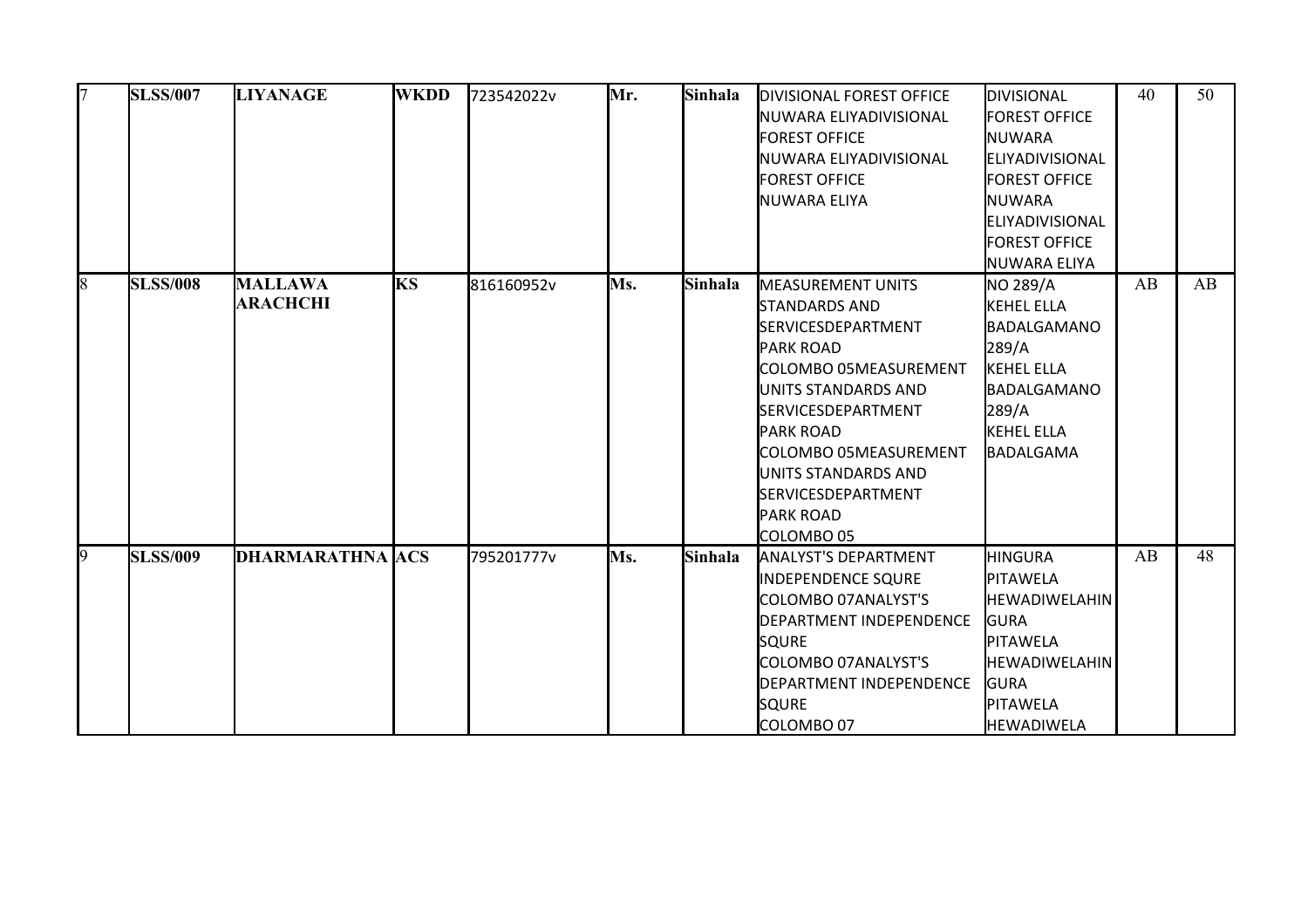| 17              | <b>SLSS/007</b> | <b>LIYANAGE</b>                   | <b>WKDD</b> | 723542022v | Mr. | Sinhala | <b>DIVISIONAL FOREST OFFICE</b><br>INUWARA ELIYADIVISIONAL<br><b>FOREST OFFICE</b><br>NUWARA ELIYADIVISIONAL<br><b>FOREST OFFICE</b><br>NUWARA ELIYA                                                                                                                                                                     | DIVISIONAL<br><b>FOREST OFFICE</b><br><b>INUWARA</b><br>ELIYADIVISIONAL<br><b>FOREST OFFICE</b><br><b>I</b> NUWARA<br>ELIYADIVISIONAL<br><b>FOREST OFFICE</b><br>NUWARA ELIYA | 40 | 50 |
|-----------------|-----------------|-----------------------------------|-------------|------------|-----|---------|--------------------------------------------------------------------------------------------------------------------------------------------------------------------------------------------------------------------------------------------------------------------------------------------------------------------------|-------------------------------------------------------------------------------------------------------------------------------------------------------------------------------|----|----|
| 8               | <b>SLSS/008</b> | <b>MALLAWA</b><br><b>ARACHCHI</b> | <b>KS</b>   | 816160952v | Ms. | Sinhala | <b>MEASUREMENT UNITS</b><br><b>STANDARDS AND</b><br><b>SERVICESDEPARTMENT</b><br><b>PARK ROAD</b><br><b>COLOMBO 05MEASUREMENT</b><br>UNITS STANDARDS AND<br><b>SERVICESDEPARTMENT</b><br><b>PARK ROAD</b><br>COLOMBO 05MEASUREMENT<br>UNITS STANDARDS AND<br><b>SERVICESDEPARTMENT</b><br><b>PARK ROAD</b><br>COLOMBO 05 | NO 289/A<br>KEHEL ELLA<br><b>BADALGAMANO</b><br>289/A<br>KEHEL ELLA<br>BADALGAMANO<br>289/A<br>KEHEL ELLA<br>BADALGAMA                                                        | AB | AB |
| $\vert 9 \vert$ | <b>SLSS/009</b> | <b>DHARMARATHNA ACS</b>           |             | 795201777v | Ms. | Sinhala | <b>ANALYST'S DEPARTMENT</b><br><b>INDEPENDENCE SQURE</b><br>COLOMBO 07ANALYST'S<br><b>DEPARTMENT INDEPENDENCE</b><br><b>SQURE</b><br>COLOMBO 07ANALYST'S<br><b>DEPARTMENT INDEPENDENCE</b><br><b>SQURE</b><br>COLOMBO 07                                                                                                 | HINGURA<br>PITAWELA<br><b>HEWADIWELAHIN</b><br><b>GURA</b><br>PITAWELA<br><b>I</b> HEWADIWELAHIN<br><b>GURA</b><br><b>PITAWELA</b><br><b>HEWADIWELA</b>                       | AB | 48 |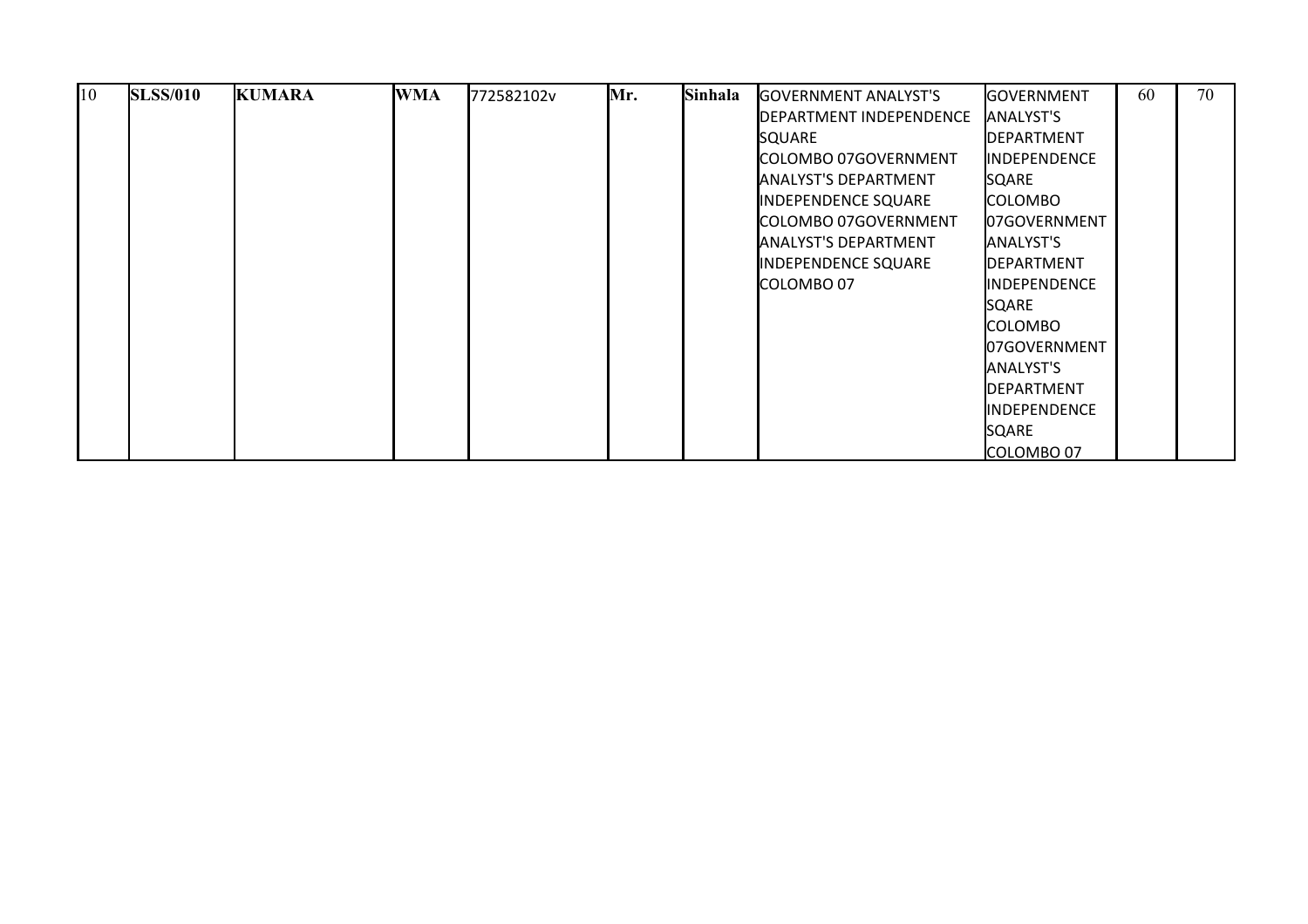| $\overline{10}$ | <b>SLSS/010</b> | <b>KUMARA</b> | <b>WMA</b> | 772582102v | Mr. | Sinhala | <b>GOVERNMENT ANALYST'S</b> | <b>I</b> GOVERNMENT   | 60 | 70 |
|-----------------|-----------------|---------------|------------|------------|-----|---------|-----------------------------|-----------------------|----|----|
|                 |                 |               |            |            |     |         | DEPARTMENT INDEPENDENCE     | <b>JANALYST'S</b>     |    |    |
|                 |                 |               |            |            |     |         | <b>SQUARE</b>               | <b>IDEPARTMENT</b>    |    |    |
|                 |                 |               |            |            |     |         | COLOMBO 07GOVERNMENT        | <b>IINDEPENDENCE</b>  |    |    |
|                 |                 |               |            |            |     |         | <b>ANALYST'S DEPARTMENT</b> | <b>SQARE</b>          |    |    |
|                 |                 |               |            |            |     |         | INDEPENDENCE SQUARE         | <b>COLOMBO</b>        |    |    |
|                 |                 |               |            |            |     |         | COLOMBO 07GOVERNMENT        | <b>I07GOVERNMENT</b>  |    |    |
|                 |                 |               |            |            |     |         | <b>ANALYST'S DEPARTMENT</b> | <b>I</b> ANALYST'S    |    |    |
|                 |                 |               |            |            |     |         | INDEPENDENCE SQUARE         | <b>IDEPARTMENT</b>    |    |    |
|                 |                 |               |            |            |     |         | ICOLOMBO 07                 | <b>I</b> INDEPENDENCE |    |    |
|                 |                 |               |            |            |     |         |                             | <b>SQARE</b>          |    |    |
|                 |                 |               |            |            |     |         |                             | COLOMBO               |    |    |
|                 |                 |               |            |            |     |         |                             | 07GOVERNMENT          |    |    |
|                 |                 |               |            |            |     |         |                             | <b>I</b> ANALYST'S    |    |    |
|                 |                 |               |            |            |     |         |                             | <b>IDEPARTMENT</b>    |    |    |
|                 |                 |               |            |            |     |         |                             | <b>IINDEPENDENCE</b>  |    |    |
|                 |                 |               |            |            |     |         |                             | <b>SQARE</b>          |    |    |
|                 |                 |               |            |            |     |         |                             | COLOMBO 07            |    |    |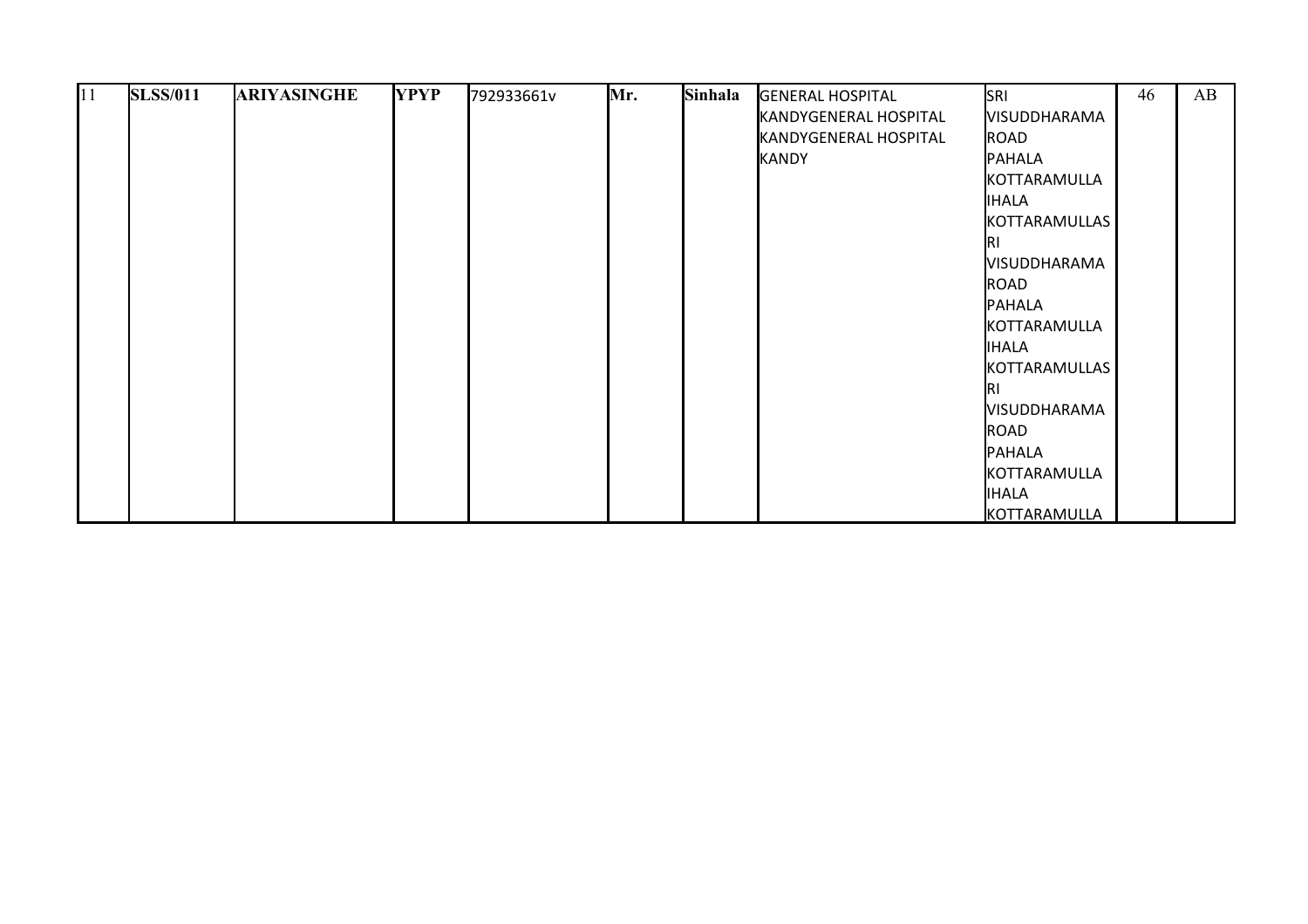| 11 | <b>SLSS/011</b> | <b>ARIYASINGHE</b> | <b>YPYP</b> | 792933661v | Mr. | Sinhala | <b>GENERAL HOSPITAL</b> | <b>SRI</b>          | 46 | AB |
|----|-----------------|--------------------|-------------|------------|-----|---------|-------------------------|---------------------|----|----|
|    |                 |                    |             |            |     |         | KANDYGENERAL HOSPITAL   | <b>VISUDDHARAMA</b> |    |    |
|    |                 |                    |             |            |     |         | KANDYGENERAL HOSPITAL   | ROAD                |    |    |
|    |                 |                    |             |            |     |         | KANDY                   | PAHALA              |    |    |
|    |                 |                    |             |            |     |         |                         | KOTTARAMULLA        |    |    |
|    |                 |                    |             |            |     |         |                         | <b>IHALA</b>        |    |    |
|    |                 |                    |             |            |     |         |                         | KOTTARAMULLAS       |    |    |
|    |                 |                    |             |            |     |         |                         | IRI                 |    |    |
|    |                 |                    |             |            |     |         |                         | <b>VISUDDHARAMA</b> |    |    |
|    |                 |                    |             |            |     |         |                         | ROAD                |    |    |
|    |                 |                    |             |            |     |         |                         | PAHALA              |    |    |
|    |                 |                    |             |            |     |         |                         | KOTTARAMULLA        |    |    |
|    |                 |                    |             |            |     |         |                         | <b>IHALA</b>        |    |    |
|    |                 |                    |             |            |     |         |                         | KOTTARAMULLAS       |    |    |
|    |                 |                    |             |            |     |         |                         | IRI                 |    |    |
|    |                 |                    |             |            |     |         |                         | <b>VISUDDHARAMA</b> |    |    |
|    |                 |                    |             |            |     |         |                         | ROAD                |    |    |
|    |                 |                    |             |            |     |         |                         | PAHALA              |    |    |
|    |                 |                    |             |            |     |         |                         | KOTTARAMULLA        |    |    |
|    |                 |                    |             |            |     |         |                         | <b>IHALA</b>        |    |    |
|    |                 |                    |             |            |     |         |                         | KOTTARAMULLA        |    |    |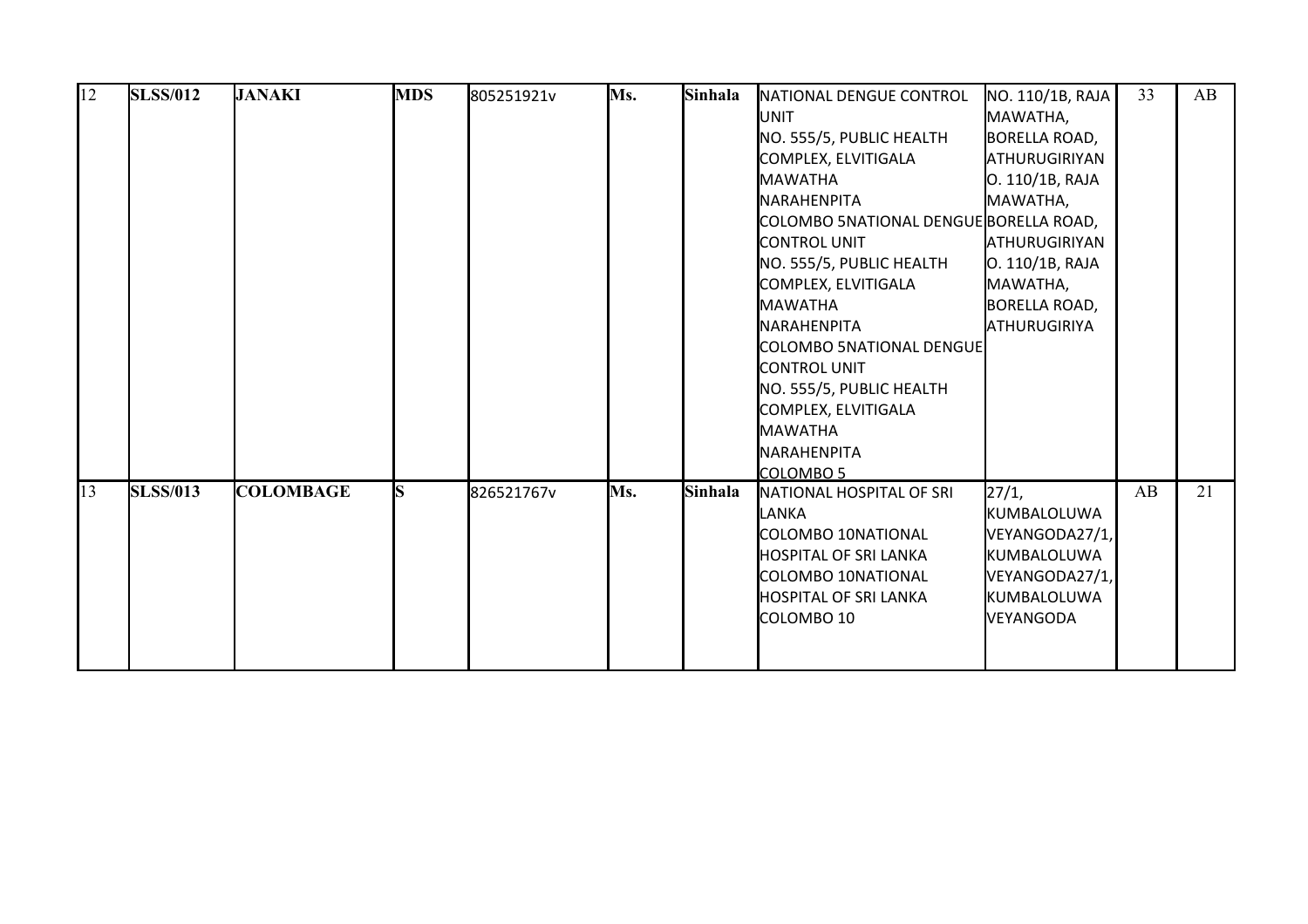| 12 | <b>SLSS/012</b> | <b>JANAKI</b>    | <b>MDS</b> | 805251921v | Ms. | Sinhala | NATIONAL DENGUE CONTROL                | NO. 110/1B, RAJA     | 33 | AB |
|----|-----------------|------------------|------------|------------|-----|---------|----------------------------------------|----------------------|----|----|
|    |                 |                  |            |            |     |         | IUNIT                                  | MAWATHA,             |    |    |
|    |                 |                  |            |            |     |         | NO. 555/5, PUBLIC HEALTH               | BORELLA ROAD,        |    |    |
|    |                 |                  |            |            |     |         | COMPLEX, ELVITIGALA                    | ATHURUGIRIYAN        |    |    |
|    |                 |                  |            |            |     |         | <b>MAWATHA</b>                         | O. 110/1B, RAJA      |    |    |
|    |                 |                  |            |            |     |         | <b>I</b> NARAHENPITA                   | MAWATHA,             |    |    |
|    |                 |                  |            |            |     |         | COLOMBO 5NATIONAL DENGUE BORELLA ROAD, |                      |    |    |
|    |                 |                  |            |            |     |         | <b>I</b> CONTROL UNIT                  | <b>ATHURUGIRIYAN</b> |    |    |
|    |                 |                  |            |            |     |         | NO. 555/5, PUBLIC HEALTH               | O. 110/1B, RAJA      |    |    |
|    |                 |                  |            |            |     |         | COMPLEX, ELVITIGALA                    | MAWATHA,             |    |    |
|    |                 |                  |            |            |     |         | MAWATHA                                | <b>BORELLA ROAD,</b> |    |    |
|    |                 |                  |            |            |     |         | <b>I</b> NARAHENPITA                   | <b>ATHURUGIRIYA</b>  |    |    |
|    |                 |                  |            |            |     |         | COLOMBO 5NATIONAL DENGUE               |                      |    |    |
|    |                 |                  |            |            |     |         | CONTROL UNIT                           |                      |    |    |
|    |                 |                  |            |            |     |         | NO. 555/5, PUBLIC HEALTH               |                      |    |    |
|    |                 |                  |            |            |     |         | COMPLEX, ELVITIGALA                    |                      |    |    |
|    |                 |                  |            |            |     |         | MAWATHA                                |                      |    |    |
|    |                 |                  |            |            |     |         | <b>INARAHENPITA</b>                    |                      |    |    |
|    |                 |                  |            |            |     |         | COLOMBO <sub>5</sub>                   |                      |    |    |
| 13 | <b>SLSS/013</b> | <b>COLOMBAGE</b> | S          | 826521767v | Ms. | Sinhala | NATIONAL HOSPITAL OF SRI               | 27/1,                | AB | 21 |
|    |                 |                  |            |            |     |         | <b>LANKA</b>                           | KUMBALOLUWA          |    |    |
|    |                 |                  |            |            |     |         | COLOMBO 10NATIONAL                     | VEYANGODA27/1,       |    |    |
|    |                 |                  |            |            |     |         | <b>HOSPITAL OF SRI LANKA</b>           | KUMBALOLUWA          |    |    |
|    |                 |                  |            |            |     |         | COLOMBO 10NATIONAL                     | VEYANGODA27/1,       |    |    |
|    |                 |                  |            |            |     |         | <b>HOSPITAL OF SRI LANKA</b>           | KUMBALOLUWA          |    |    |
|    |                 |                  |            |            |     |         | COLOMBO 10                             | VEYANGODA            |    |    |
|    |                 |                  |            |            |     |         |                                        |                      |    |    |
|    |                 |                  |            |            |     |         |                                        |                      |    |    |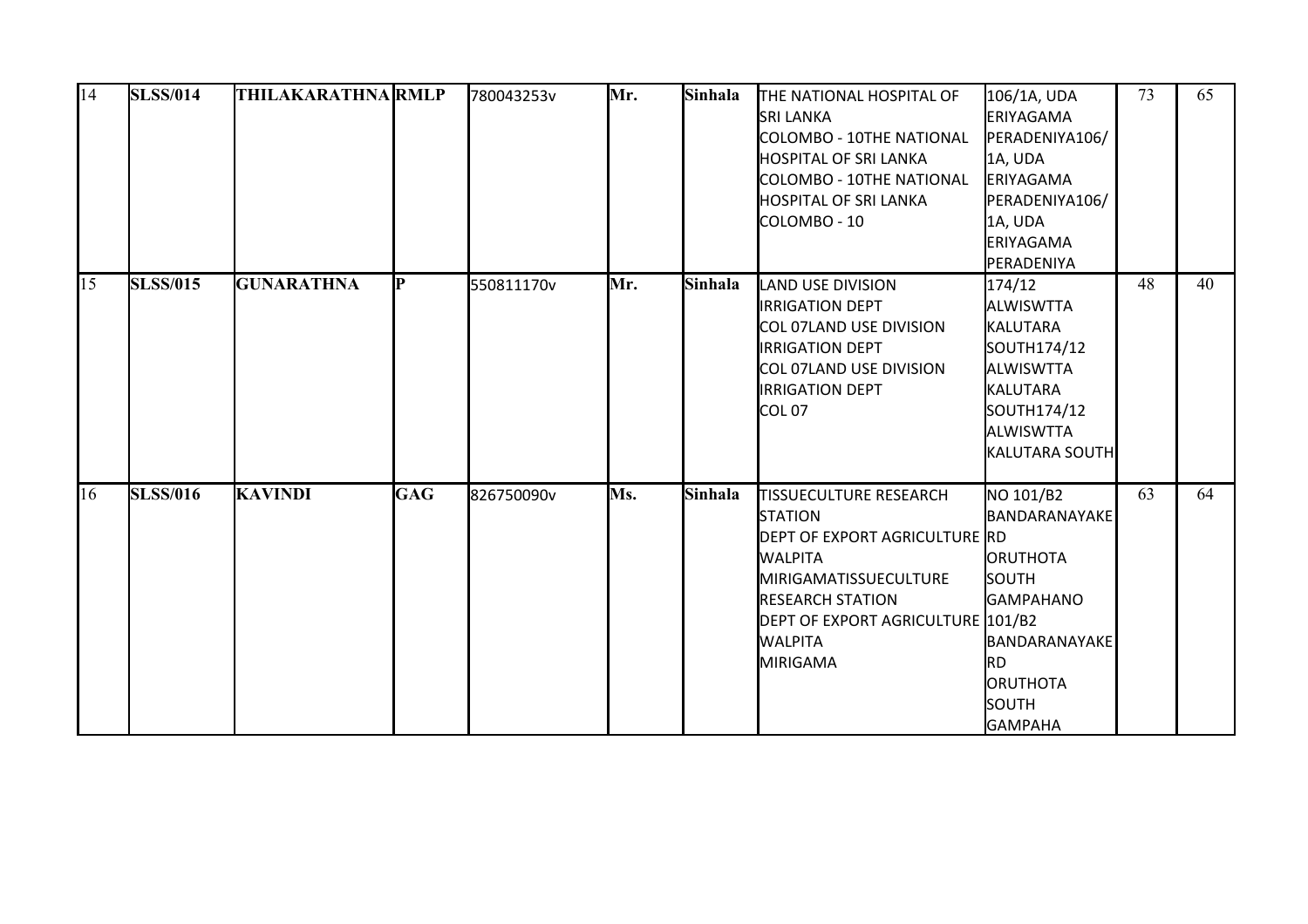| 14 | <b>SLSS/014</b> | <b>THILAKARATHNA RMLP</b> |            | 780043253v | Mr. | Sinhala | THE NATIONAL HOSPITAL OF<br><b>SRI LANKA</b><br>COLOMBO - 10THE NATIONAL<br><b>HOSPITAL OF SRI LANKA</b><br>COLOMBO - 10THE NATIONAL<br><b>HOSPITAL OF SRI LANKA</b><br>COLOMBO - 10                                             | 106/1A, UDA<br>ERIYAGAMA<br>PERADENIYA106/<br>1A, UDA<br>ERIYAGAMA<br>PERADENIYA106/<br>1A, UDA<br>ERIYAGAMA<br>PERADENIYA                        | 73 | 65 |
|----|-----------------|---------------------------|------------|------------|-----|---------|----------------------------------------------------------------------------------------------------------------------------------------------------------------------------------------------------------------------------------|---------------------------------------------------------------------------------------------------------------------------------------------------|----|----|
| 15 | <b>SLSS/015</b> | <b>GUNARATHNA</b>         | IР         | 550811170v | Mr. | Sinhala | <b>LAND USE DIVISION</b><br><b>IRRIGATION DEPT</b><br>COL 07LAND USE DIVISION<br><b>IRRIGATION DEPT</b><br>COL 07LAND USE DIVISION<br><b>IRRIGATION DEPT</b><br>ICOLO7                                                           | 174/12<br>ALWISWTTA<br>KALUTARA<br>SOUTH174/12<br><b>ALWISWTTA</b><br>KALUTARA<br>SOUTH174/12<br>ALWISWTTA<br><b>KALUTARA SOUTH</b>               | 48 | 40 |
| 16 | <b>SLSS/016</b> | <b>KAVINDI</b>            | <b>GAG</b> | 826750090v | Ms. | Sinhala | <b>TISSUECULTURE RESEARCH</b><br><b>STATION</b><br>DEPT OF EXPORT AGRICULTURE RD<br><b>WALPITA</b><br><b>MIRIGAMATISSUECULTURE</b><br><b>RESEARCH STATION</b><br>DEPT OF EXPORT AGRICULTURE 101/B2<br><b>WALPITA</b><br>MIRIGAMA | NO 101/B2<br>BANDARANAYAKE<br><b>ORUTHOTA</b><br><b>SOUTH</b><br><b>GAMPAHANO</b><br>BANDARANAYAKE<br>Ird.<br>ORUTHOTA<br>SOUTH<br><b>GAMPAHA</b> | 63 | 64 |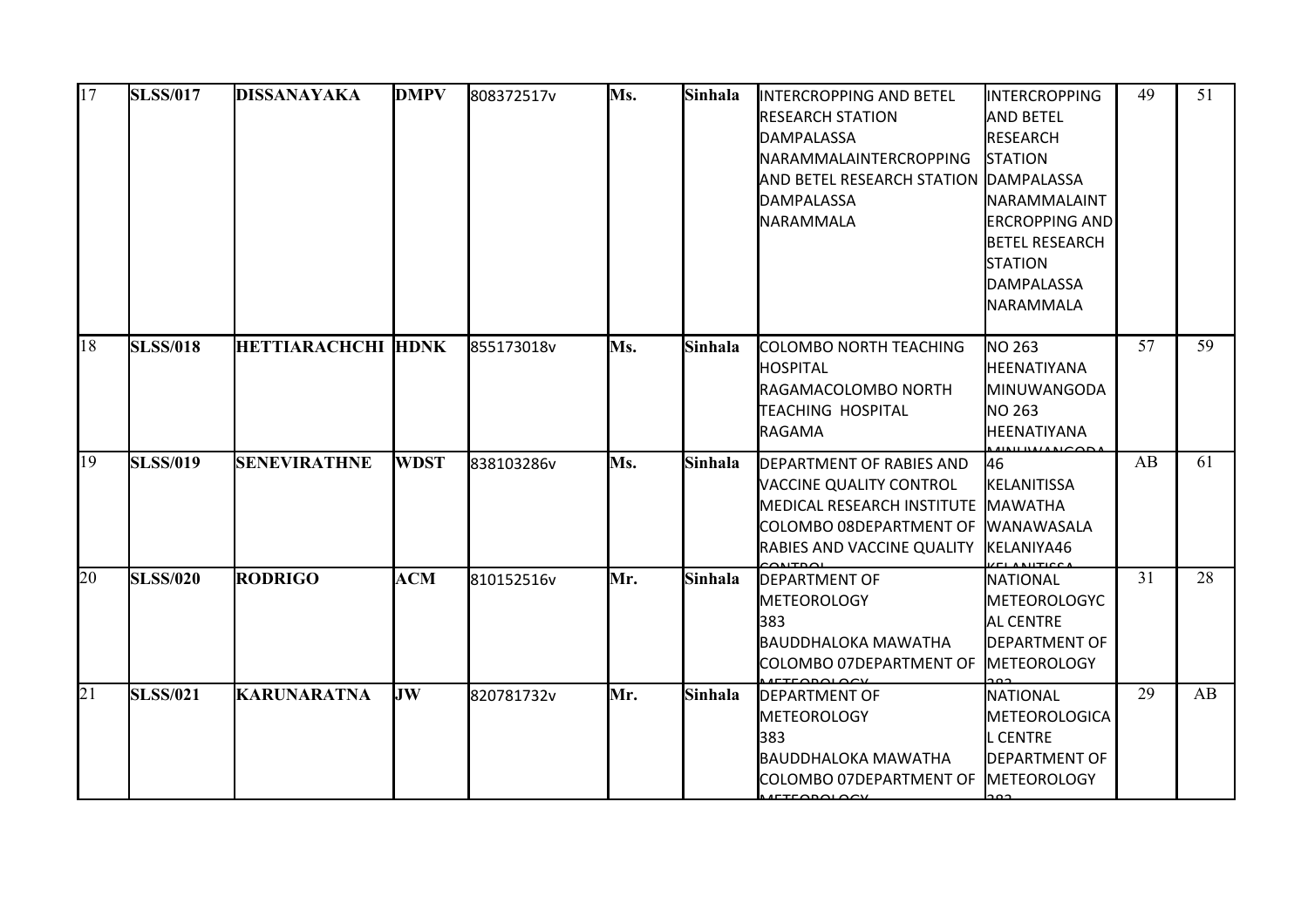| 17 | <b>SLSS/017</b> | DISSANAYAKA               | <b>DMPV</b> | 808372517v | Ms. | Sinhala | <b>INTERCROPPING AND BETEL</b><br><b>RESEARCH STATION</b><br>DAMPALASSA<br><b>NARAMMALAINTERCROPPING</b><br><b>AND BETEL RESEARCH STATION DAMPALASSA</b><br>DAMPALASSA<br><b>NARAMMALA</b> | INTERCROPPING<br><b>AND BETEL</b><br>RESEARCH<br><b>STATION</b><br>NARAMMALAINT<br><b>ERCROPPING AND</b><br><b>BETEL RESEARCH</b><br><b>STATION</b><br>DAMPALASSA<br>NARAMMALA | 49 | 51 |
|----|-----------------|---------------------------|-------------|------------|-----|---------|--------------------------------------------------------------------------------------------------------------------------------------------------------------------------------------------|--------------------------------------------------------------------------------------------------------------------------------------------------------------------------------|----|----|
| 18 | <b>SLSS/018</b> | <b>HETTIARACHCHI HDNK</b> |             | 855173018v | Ms. | Sinhala | COLOMBO NORTH TEACHING<br>HOSPITAL<br>RAGAMACOLOMBO NORTH<br><b>TEACHING HOSPITAL</b><br><b>RAGAMA</b>                                                                                     | <b>I</b> NO 263<br>HEENATIYANA<br>MINUWANGODA<br>NO 263<br>HEENATIYANA                                                                                                         | 57 | 59 |
| 19 | <b>SLSS/019</b> | <b>SENEVIRATHNE</b>       | <b>WDST</b> | 838103286v | Ms. | Sinhala | <b>DEPARTMENT OF RABIES AND</b><br>VACCINE QUALITY CONTROL<br><b>MEDICAL RESEARCH INSTITUTE</b><br>COLOMBO 08DEPARTMENT OF<br><b>RABIES AND VACCINE QUALITY</b>                            | 46<br><b>KELANITISSA</b><br><b>MAWATHA</b><br><b>IWANAWASALA</b><br>KELANIYA46                                                                                                 | AB | 61 |
| 20 | <b>SLSS/020</b> | <b>RODRIGO</b>            | <b>ACM</b>  | 810152516v | Mr. | Sinhala | <b>IDEPARTMENT OF</b><br><b>METEOROLOGY</b><br>383<br>BAUDDHALOKA MAWATHA<br>COLOMBO 07DEPARTMENT OF                                                                                       | NATIONAL<br><b>METEOROLOGYC</b><br><b>AL CENTRE</b><br><b>I</b> DEPARTMENT OF<br><b>METEOROLOGY</b>                                                                            | 31 | 28 |
| 21 | <b>SLSS/021</b> | <b>KARUNARATNA</b>        | JW          | 820781732v | Mr. | Sinhala | <b>DEPARTMENT OF</b><br><b>METEOROLOGY</b><br>383<br>BAUDDHALOKA MAWATHA<br><b>I</b> COLOMBO 07DEPARTMENT OF<br><b>ACTEQRALACYL</b>                                                        | NATIONAL<br>METEOROLOGICA<br><b>L CENTRE</b><br>DEPARTMENT OF<br><b>METEOROLOGY</b>                                                                                            | 29 | AB |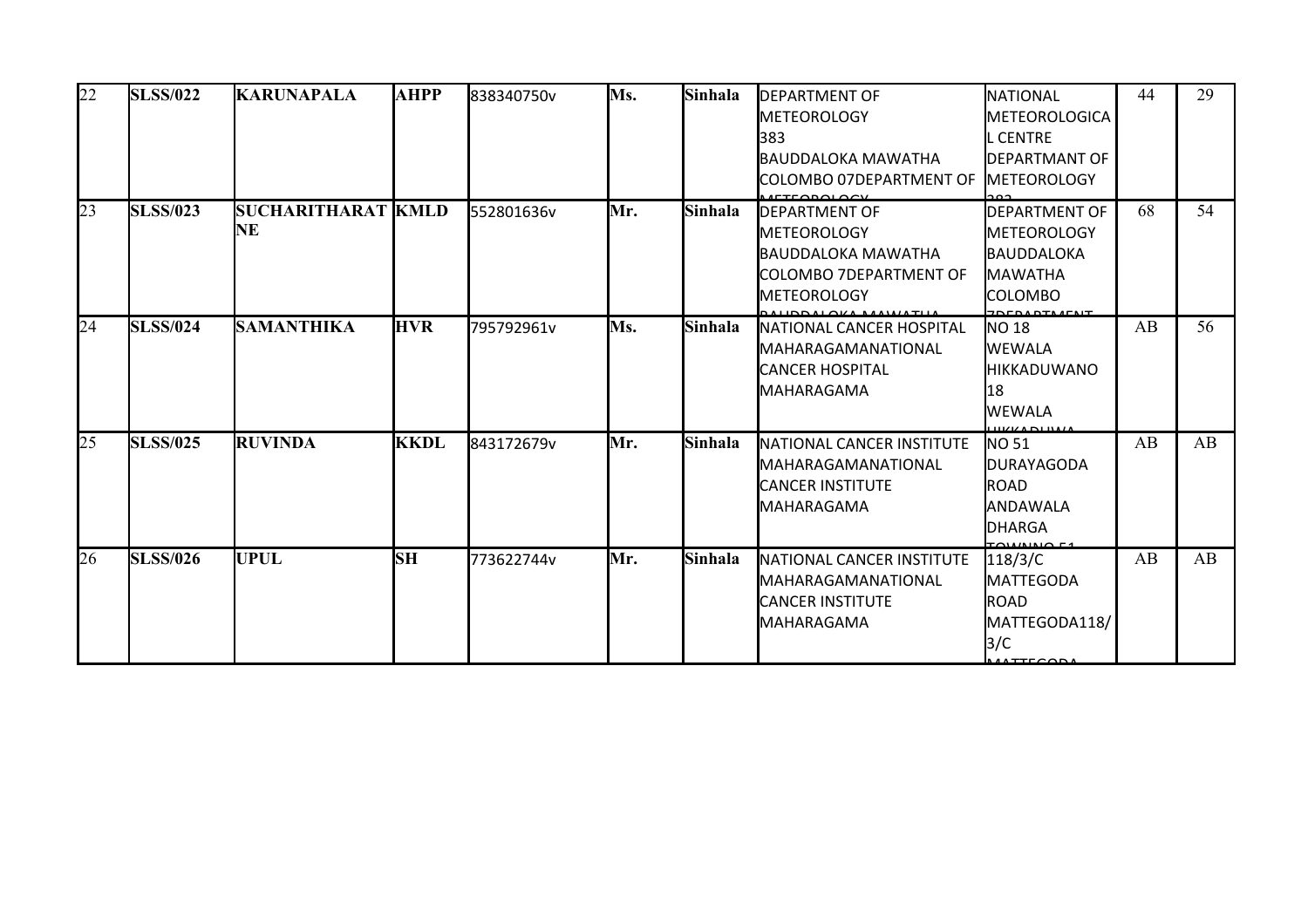| 22 | <b>SLSS/022</b> | <b>KARUNAPALA</b>                | <b>AHPP</b> | 838340750v | Ms. | Sinhala | <b>IDEPARTMENT OF</b><br><b>METEOROLOGY</b><br>l383<br>BAUDDALOKA MAWATHA<br><b>I</b> COLOMBO 07DEPARTMENT OF                | NATIONAL<br><b>METEOROLOGICA</b><br>L CENTRE<br><b>DEPARTMANT OF</b><br><b>IMETEOROLOGY</b>      | 44 | 29 |
|----|-----------------|----------------------------------|-------------|------------|-----|---------|------------------------------------------------------------------------------------------------------------------------------|--------------------------------------------------------------------------------------------------|----|----|
| 23 | <b>SLSS/023</b> | <b>SUCHARITHARAT IKMLD</b><br>NE |             | 552801636v | Mr. | Sinhala | <b>IDEPARTMENT OF</b><br><b>I</b> METEOROLOGY<br>BAUDDALOKA MAWATHA<br><b>I</b> COLOMBO 7DEPARTMENT OF<br><b>METEOROLOGY</b> | <b>DEPARTMENT OF</b><br><b>I</b> METEOROLOGY<br>BAUDDALOKA<br><b>I</b> MAWATHA<br><b>COLOMBO</b> | 68 | 54 |
| 24 | <b>SLSS/024</b> | <b>SAMANTHIKA</b>                | <b>HVR</b>  | 795792961v | Ms. | Sinhala | <b>I</b> NATIONAL CANCER HOSPITAL<br>IMAHARAGAMANATIONAL<br><b>I</b> CANCER HOSPITAL<br><b>MAHARAGAMA</b>                    | <b>NO 18</b><br><b>WEWALA</b><br><b>IHIKKADUWANO</b><br>18<br>WEWALA                             | AB | 56 |
| 25 | <b>SLSS/025</b> | <b>RUVINDA</b>                   | <b>KKDL</b> | 843172679v | Mr. | Sinhala | <b>NATIONAL CANCER INSTITUTE</b><br><b>MAHARAGAMANATIONAL</b><br><b>I</b> CANCER INSTITUTE<br>MAHARAGAMA                     | NO <sub>51</sub><br><b>JDURAYAGODA</b><br>ROAD<br><b>ANDAWALA</b><br>DHARGA                      | AB | AB |
| 26 | <b>SLSS/026</b> | UPUL                             | <b>SH</b>   | 773622744v | Mr. | Sinhala | <b>INATIONAL CANCER INSTITUTE</b><br>IMAHARAGAMANATIONAL<br><b>CANCER INSTITUTE</b><br><b>MAHARAGAMA</b>                     | 118/3/C<br><b>I</b> MATTEGODA<br>ROAD<br>MATTEGODA118/<br>3/C                                    | AB | AB |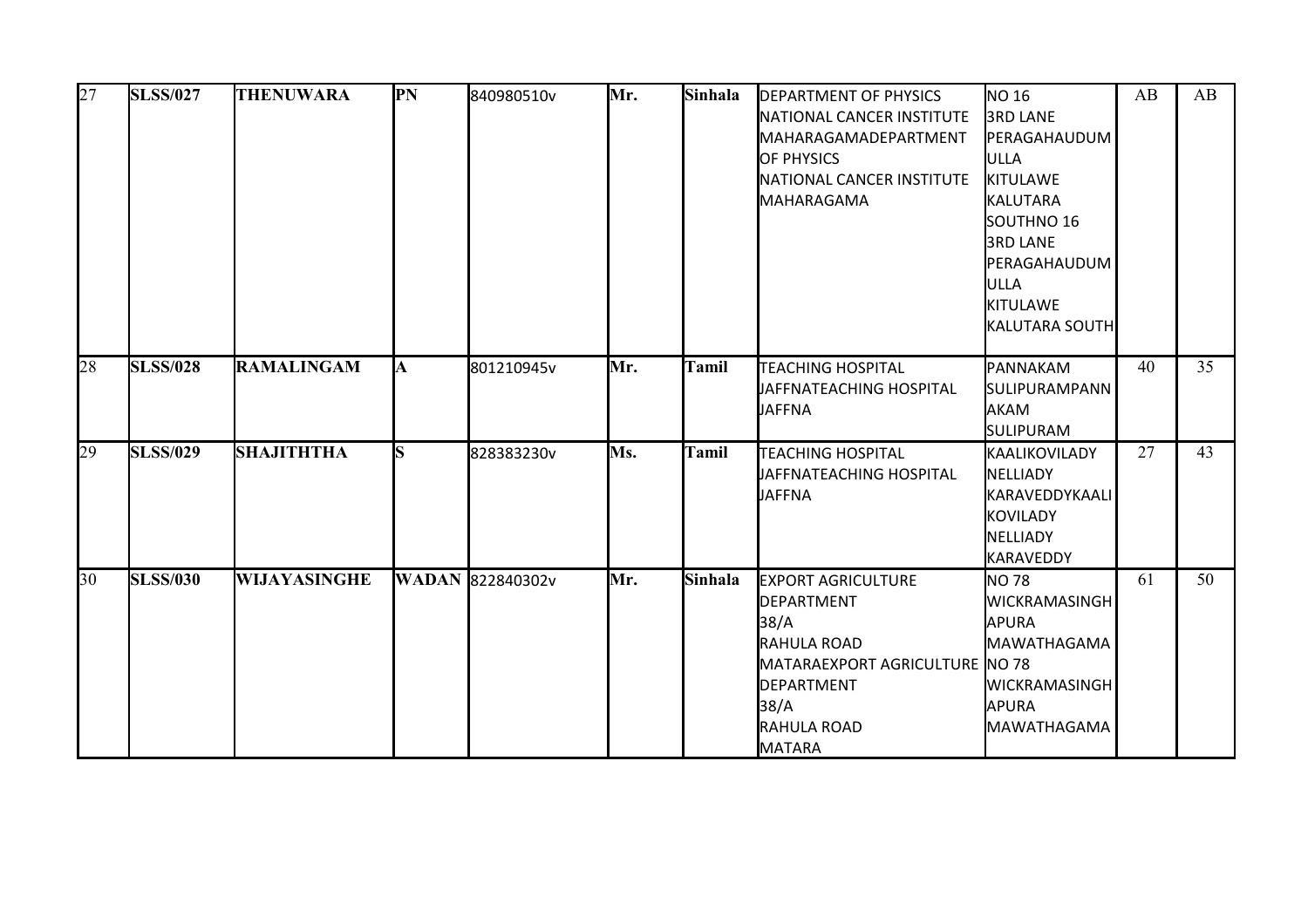| 27 | <b>SLSS/027</b> | <b>THENUWARA</b>    | PN  | 840980510v              | Mr. | Sinhala | <b>DEPARTMENT OF PHYSICS</b><br>NATIONAL CANCER INSTITUTE<br><b>I</b> MAHARAGAMADEPARTMENT<br><b>OF PHYSICS</b><br>NATIONAL CANCER INSTITUTE<br>MAHARAGAMA | NO 16<br><b>3RD LANE</b><br>PERAGAHAUDUM<br>ULLA<br>KITULAWE<br>KALUTARA<br>SOUTHNO 16<br><b>3RD LANE</b><br>PERAGAHAUDUM<br><b>ULLA</b><br>KITULAWE<br>KALUTARA SOUTH | AB | AB |
|----|-----------------|---------------------|-----|-------------------------|-----|---------|------------------------------------------------------------------------------------------------------------------------------------------------------------|------------------------------------------------------------------------------------------------------------------------------------------------------------------------|----|----|
| 28 | <b>SLSS/028</b> | <b>RAMALINGAM</b>   | A   | 801210945v              | Mr. | Tamil   | <b>TEACHING HOSPITAL</b><br>JAFFNATEACHING HOSPITAL<br><b>JAFFNA</b>                                                                                       | PANNAKAM<br><b>SULIPURAMPANN</b><br>AKAM<br><b>SULIPURAM</b>                                                                                                           | 40 | 35 |
| 29 | <b>SLSS/029</b> | <b>SHAJITHTHA</b>   | lS. | 828383230v              | Ms. | Tamil   | <b>TEACHING HOSPITAL</b><br>JAFFNATEACHING HOSPITAL<br><b>JAFFNA</b>                                                                                       | KAALIKOVILADY<br>NELLIADY<br>KARAVEDDYKAALI<br><b>KOVILADY</b><br><b>NELLIADY</b><br>KARAVEDDY                                                                         | 27 | 43 |
| 30 | <b>SLSS/030</b> | <b>WIJAYASINGHE</b> |     | <b>WADAN 822840302v</b> | Mr. | Sinhala | <b>EXPORT AGRICULTURE</b><br>DEPARTMENT<br>38/A<br>RAHULA ROAD<br>MATARAEXPORT AGRICULTURE NO 78<br>DEPARTMENT<br>38/A<br><b>RAHULA ROAD</b><br>MATARA     | <b>NO 78</b><br><b>WICKRAMASINGH</b><br>APURA<br>MAWATHAGAMA<br><b>WICKRAMASINGH</b><br><b>APURA</b><br>MAWATHAGAMA                                                    | 61 | 50 |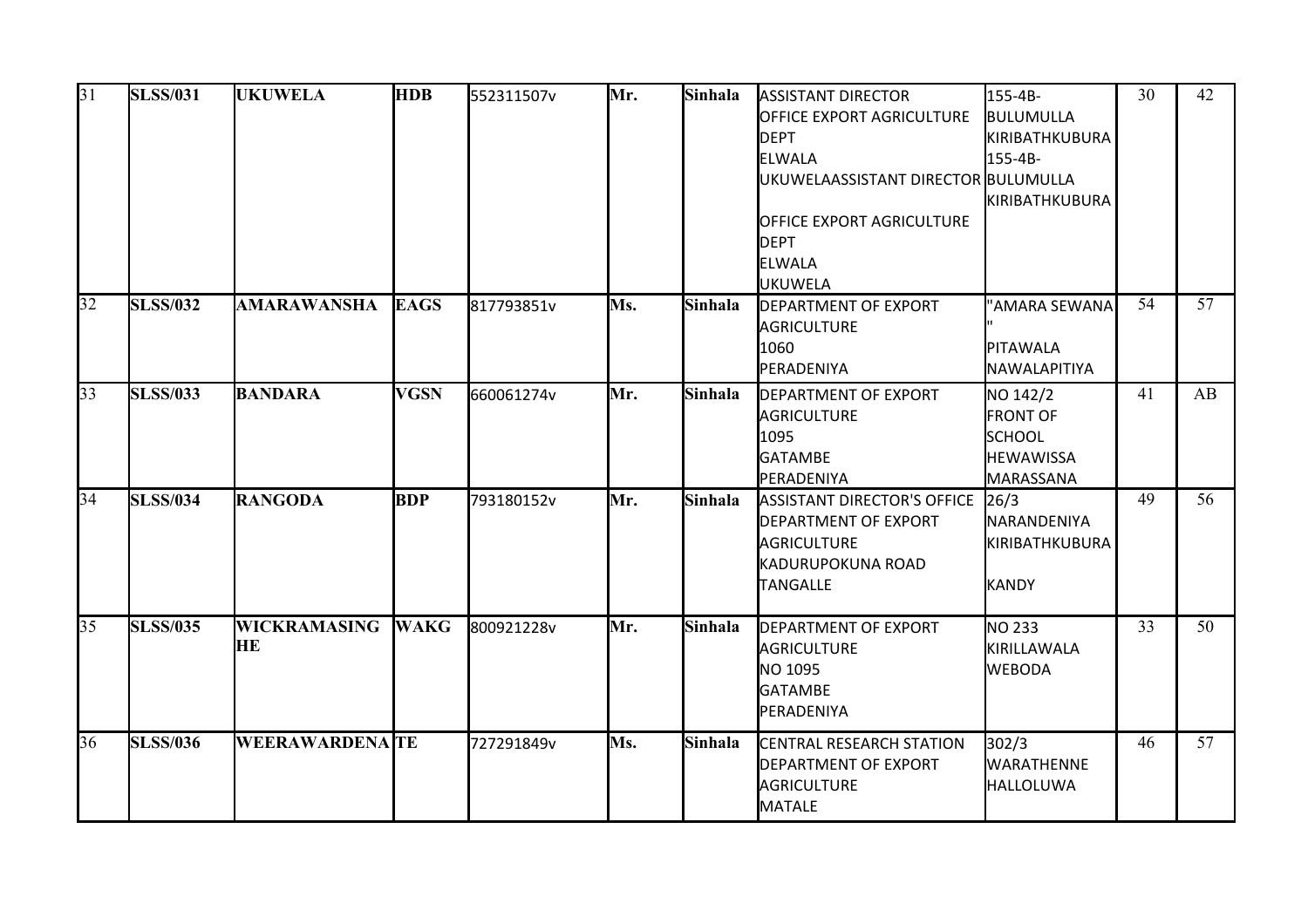| 31 | <b>SLSS/031</b> | <b>HDB</b><br>552311507v  | <b>UKUWELA</b> |            | Mr. | Sinhala | <b>ASSISTANT DIRECTOR</b><br>OFFICE EXPORT AGRICULTURE<br><b>DEPT</b><br>ELWALA<br>UKUWELAASSISTANT DIRECTOR BULUMULLA | 155-4B-<br>BULUMULLA<br>KIRIBATHKUBURA<br>155-4B-                             | 30 | 42 |
|----|-----------------|---------------------------|----------------|------------|-----|---------|------------------------------------------------------------------------------------------------------------------------|-------------------------------------------------------------------------------|----|----|
|    |                 |                           |                |            |     |         | <b>OFFICE EXPORT AGRICULTURE</b><br><b>DEPT</b><br>ELWALA<br><b>JUKUWELA</b>                                           | KIRIBATHKUBURA                                                                |    |    |
| 32 | <b>SLSS/032</b> | <b>AMARAWANSHA</b>        | <b>EAGS</b>    | 817793851v | Ms. | Sinhala | <b>DEPARTMENT OF EXPORT</b><br>AGRICULTURE<br>1060<br>PERADENIYA                                                       | "AMARA SEWANA<br>PITAWALA<br>NAWALAPITIYA                                     | 54 | 57 |
| 33 | <b>SLSS/033</b> | <b>BANDARA</b>            | <b>VGSN</b>    | 660061274v | Mr. | Sinhala | <b>DEPARTMENT OF EXPORT</b><br>AGRICULTURE<br>1095<br><b>GATAMBE</b><br>PERADENIYA                                     | NO 142/2<br><b>FRONT OF</b><br><b>SCHOOL</b><br><b>HEWAWISSA</b><br>MARASSANA | 41 | AB |
| 34 | <b>SLSS/034</b> | <b>RANGODA</b>            | <b>BDP</b>     | 793180152v | Mr. | Sinhala | <b>ASSISTANT DIRECTOR'S OFFICE</b><br><b>DEPARTMENT OF EXPORT</b><br>AGRICULTURE<br>KADURUPOKUNA ROAD<br>TANGALLE      | 26/3<br><b>NARANDENIYA</b><br>KIRIBATHKUBURA<br>KANDY                         | 49 | 56 |
| 35 | <b>SLSS/035</b> | <b>WICKRAMASING</b><br>HE | <b>WAKG</b>    | 800921228v | Mr. | Sinhala | <b>DEPARTMENT OF EXPORT</b><br>AGRICULTURE<br>NO 1095<br><b>GATAMBE</b><br>PERADENIYA                                  | NO 233<br>KIRILLAWALA<br><b>WEBODA</b>                                        | 33 | 50 |
| 36 | <b>SLSS/036</b> | <b>WEERAWARDENA TE</b>    |                | 727291849v | Ms. | Sinhala | <b>CENTRAL RESEARCH STATION</b><br><b>DEPARTMENT OF EXPORT</b><br>AGRICULTURE<br>MATALE                                | 302/3<br><b>WARATHENNE</b><br><b>HALLOLUWA</b>                                | 46 | 57 |